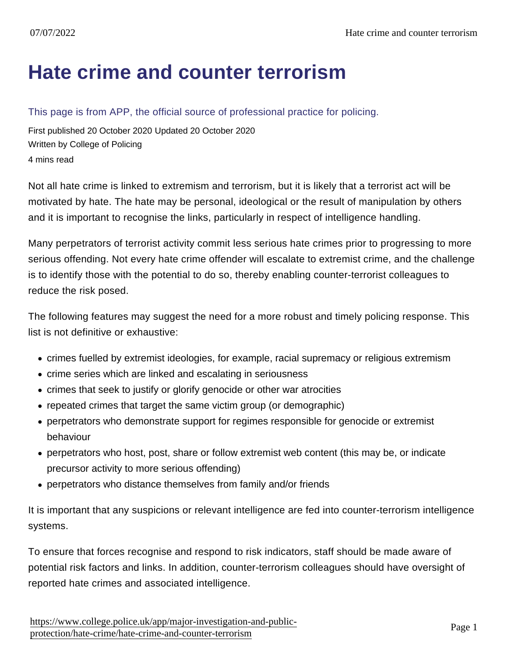## [Hate crime and counter terrorism](https://www.college.police.uk/app/major-investigation-and-public-protection/hate-crime/hate-crime-and-counter-terrorism)

## This page is from APP, the official source of professional practice for policing.

First published 20 October 2020 Updated 20 October 2020 Written by College of Policing 4 mins read

Not all hate crime is linked to extremism and terrorism, but it is likely that a terrorist act will be motivated by hate. The hate may be personal, ideological or the result of manipulation by others and it is important to recognise the links, particularly in respect of intelligence handling.

Many perpetrators of terrorist activity commit less serious hate crimes prior to progressing to more serious offending. Not every hate crime offender will escalate to extremist crime, and the challenge is to identify those with the potential to do so, thereby enabling counter-terrorist colleagues to reduce the risk posed.

The following features may suggest the need for a more robust and timely policing response. This list is not definitive or exhaustive:

- crimes fuelled by extremist ideologies, for example, racial supremacy or religious extremism
- crime series which are linked and escalating in seriousness
- crimes that seek to justify or glorify genocide or other war atrocities
- repeated crimes that target the same victim group (or demographic)
- perpetrators who demonstrate support for regimes responsible for genocide or extremist behaviour
- perpetrators who host, post, share or follow extremist web content (this may be, or indicate precursor activity to more serious offending)
- perpetrators who distance themselves from family and/or friends

It is important that any suspicions or relevant intelligence are fed into counter-terrorism intelligence systems.

To ensure that forces recognise and respond to risk indicators, staff should be made aware of potential risk factors and links. In addition, counter-terrorism colleagues should have oversight of reported hate crimes and associated intelligence.